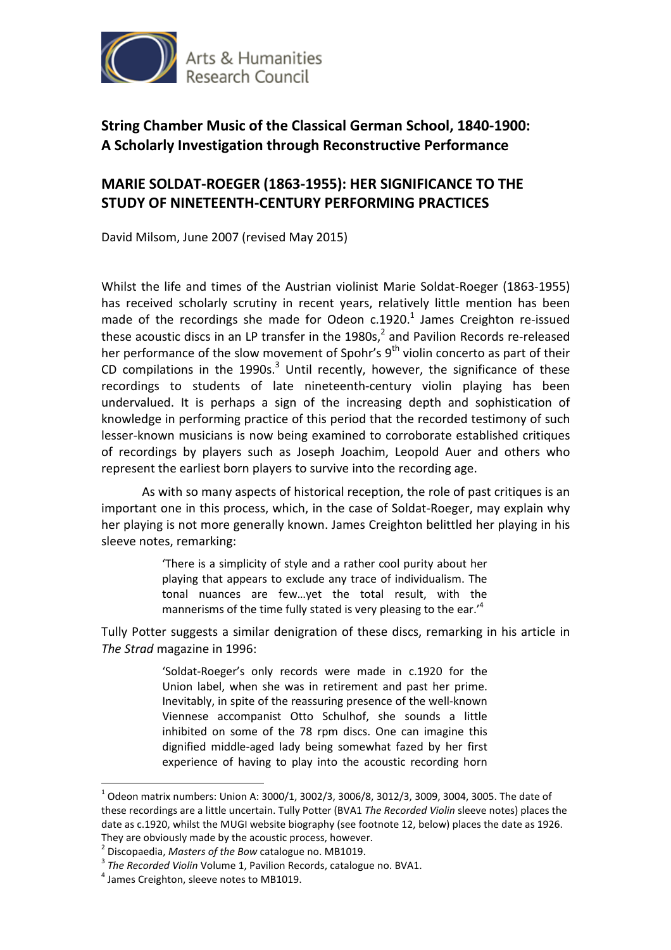

## **MARIE SOLDAT-ROEGER (1863-1955): HER SIGNIFICANCE TO THE STUDY OF NINETEENTH-CENTURY PERFORMING PRACTICES**

David Milsom, June 2007 (revised May 2015)

Whilst the life and times of the Austrian violinist Marie Soldat-Roeger (1863-1955) has received scholarly scrutiny in recent years, relatively little mention has been made of the recordings she made for Odeon  $c.1920<sup>1</sup>$  James Creighton re-issued these acoustic discs in an LP transfer in the  $1980s$ ,  $^2$  and Pavilion Records re-released her performance of the slow movement of Spohr's 9<sup>th</sup> violin concerto as part of their CD compilations in the 1990s. $3$  Until recently, however, the significance of these recordings to students of late nineteenth-century violin playing has been undervalued. It is perhaps a sign of the increasing depth and sophistication of knowledge in performing practice of this period that the recorded testimony of such lesser-known musicians is now being examined to corroborate established critiques of recordings by players such as Joseph Joachim, Leopold Auer and others who represent the earliest born players to survive into the recording age.

 As with so many aspects of historical reception, the role of past critiques is an important one in this process, which, in the case of Soldat-Roeger, may explain why her playing is not more generally known. James Creighton belittled her playing in his sleeve notes, remarking:

> 'There is a simplicity of style and a rather cool purity about her playing that appears to exclude any trace of individualism. The tonal nuances are few…yet the total result, with the mannerisms of the time fully stated is very pleasing to the ear.<sup>14</sup>

Tully Potter suggests a similar denigration of these discs, remarking in his article in *The Strad* magazine in 1996:

> 'Soldat-Roeger's only records were made in c.1920 for the Union label, when she was in retirement and past her prime. Inevitably, in spite of the reassuring presence of the well-known Viennese accompanist Otto Schulhof, she sounds a little inhibited on some of the 78 rpm discs. One can imagine this dignified middle-aged lady being somewhat fazed by her first experience of having to play into the acoustic recording horn

 $^{1}$  Odeon matrix numbers: Union A: 3000/1, 3002/3, 3006/8, 3012/3, 3009, 3004, 3005. The date of these recordings are a little uncertain. Tully Potter (BVA1 *The Recorded Violin* sleeve notes) places the date as c.1920, whilst the MUGI website biography (see footnote 12, below) places the date as 1926. They are obviously made by the acoustic process, however.

<sup>2</sup> Discopaedia, *Masters of the Bow* catalogue no. MB1019.

<sup>3</sup> *The Recorded Violin* Volume 1, Pavilion Records, catalogue no. BVA1.

<sup>&</sup>lt;sup>4</sup> James Creighton, sleeve notes to MB1019.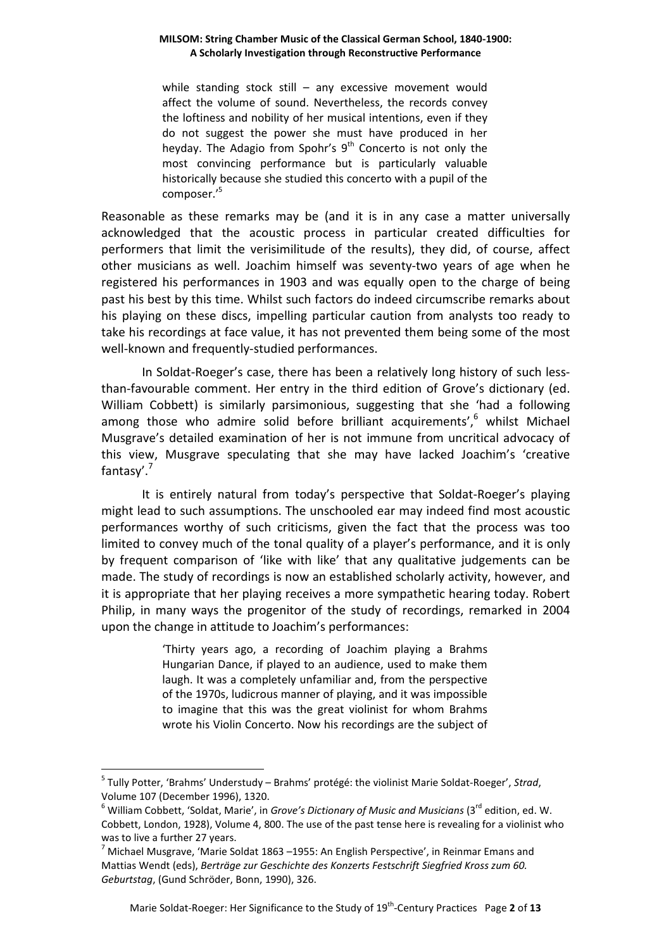while standing stock still – any excessive movement would affect the volume of sound. Nevertheless, the records convey the loftiness and nobility of her musical intentions, even if they do not suggest the power she must have produced in her heyday. The Adagio from Spohr's  $9<sup>th</sup>$  Concerto is not only the most convincing performance but is particularly valuable historically because she studied this concerto with a pupil of the composer.'<sup>5</sup>

Reasonable as these remarks may be (and it is in any case a matter universally acknowledged that the acoustic process in particular created difficulties for performers that limit the verisimilitude of the results), they did, of course, affect other musicians as well. Joachim himself was seventy-two years of age when he registered his performances in 1903 and was equally open to the charge of being past his best by this time. Whilst such factors do indeed circumscribe remarks about his playing on these discs, impelling particular caution from analysts too ready to take his recordings at face value, it has not prevented them being some of the most well-known and frequently-studied performances.

In Soldat-Roeger's case, there has been a relatively long history of such lessthan-favourable comment. Her entry in the third edition of Grove's dictionary (ed. William Cobbett) is similarly parsimonious, suggesting that she 'had a following among those who admire solid before brilliant acquirements', hwhilst Michael Musgrave's detailed examination of her is not immune from uncritical advocacy of this view, Musgrave speculating that she may have lacked Joachim's 'creative fantasy'.'

 It is entirely natural from today's perspective that Soldat-Roeger's playing might lead to such assumptions. The unschooled ear may indeed find most acoustic performances worthy of such criticisms, given the fact that the process was too limited to convey much of the tonal quality of a player's performance, and it is only by frequent comparison of 'like with like' that any qualitative judgements can be made. The study of recordings is now an established scholarly activity, however, and it is appropriate that her playing receives a more sympathetic hearing today. Robert Philip, in many ways the progenitor of the study of recordings, remarked in 2004 upon the change in attitude to Joachim's performances:

> 'Thirty years ago, a recording of Joachim playing a Brahms Hungarian Dance, if played to an audience, used to make them laugh. It was a completely unfamiliar and, from the perspective of the 1970s, ludicrous manner of playing, and it was impossible to imagine that this was the great violinist for whom Brahms wrote his Violin Concerto. Now his recordings are the subject of

<sup>5</sup> Tully Potter, 'Brahms' Understudy – Brahms' protégé: the violinist Marie Soldat-Roeger', *Strad*, Volume 107 (December 1996), 1320.

<sup>&</sup>lt;sup>6</sup> William Cobbett, 'Soldat, Marie', in *Grove's Dictionary of Music and Musicians* (3<sup>rd</sup> edition, ed. W. Cobbett, London, 1928), Volume 4, 800. The use of the past tense here is revealing for a violinist who was to live a further 27 years.

 $^7$  Michael Musgrave, 'Marie Soldat 1863 –1955: An English Perspective', in Reinmar Emans and Mattias Wendt (eds), *Berträge zur Geschichte des Konzerts Festschrift Siegfried Kross zum 60. Geburtstag*, (Gund Schröder, Bonn, 1990), 326.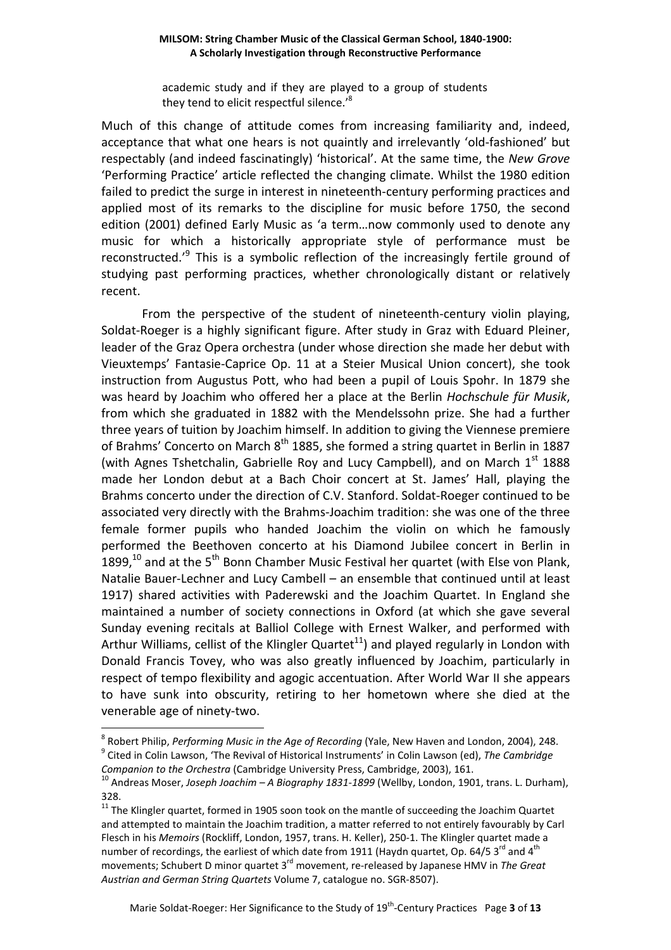academic study and if they are played to a group of students they tend to elicit respectful silence.'<sup>8</sup>

Much of this change of attitude comes from increasing familiarity and, indeed, acceptance that what one hears is not quaintly and irrelevantly 'old-fashioned' but respectably (and indeed fascinatingly) 'historical'. At the same time, the *New Grove* 'Performing Practice' article reflected the changing climate. Whilst the 1980 edition failed to predict the surge in interest in nineteenth-century performing practices and applied most of its remarks to the discipline for music before 1750, the second edition (2001) defined Early Music as 'a term…now commonly used to denote any music for which a historically appropriate style of performance must be reconstructed.<sup>, 9</sup> This is a symbolic reflection of the increasingly fertile ground of studying past performing practices, whether chronologically distant or relatively recent.

From the perspective of the student of nineteenth-century violin playing, Soldat-Roeger is a highly significant figure. After study in Graz with Eduard Pleiner, leader of the Graz Opera orchestra (under whose direction she made her debut with Vieuxtemps' Fantasie-Caprice Op. 11 at a Steier Musical Union concert), she took instruction from Augustus Pott, who had been a pupil of Louis Spohr. In 1879 she was heard by Joachim who offered her a place at the Berlin *Hochschule für Musik*, from which she graduated in 1882 with the Mendelssohn prize. She had a further three years of tuition by Joachim himself. In addition to giving the Viennese premiere of Brahms' Concerto on March  $8<sup>th</sup>$  1885, she formed a string quartet in Berlin in 1887 (with Agnes Tshetchalin, Gabrielle Roy and Lucy Campbell), and on March  $1<sup>st</sup>$  1888 made her London debut at a Bach Choir concert at St. James' Hall, playing the Brahms concerto under the direction of C.V. Stanford. Soldat-Roeger continued to be associated very directly with the Brahms-Joachim tradition: she was one of the three female former pupils who handed Joachim the violin on which he famously performed the Beethoven concerto at his Diamond Jubilee concert in Berlin in 1899, $^{10}$  and at the 5<sup>th</sup> Bonn Chamber Music Festival her quartet (with Else von Plank, Natalie Bauer-Lechner and Lucy Cambell – an ensemble that continued until at least 1917) shared activities with Paderewski and the Joachim Quartet. In England she maintained a number of society connections in Oxford (at which she gave several Sunday evening recitals at Balliol College with Ernest Walker, and performed with Arthur Williams, cellist of the Klingler Quartet<sup>11</sup>) and played regularly in London with Donald Francis Tovey, who was also greatly influenced by Joachim, particularly in respect of tempo flexibility and agogic accentuation. After World War II she appears to have sunk into obscurity, retiring to her hometown where she died at the venerable age of ninety-two.  $\overline{a}$ 

<sup>8</sup> Robert Philip, *Performing Music in the Age of Recording* (Yale, New Haven and London, 2004), 248. 9 Cited in Colin Lawson, 'The Revival of Historical Instruments' in Colin Lawson (ed), *The Cambridge Companion to the Orchestra* (Cambridge University Press, Cambridge, 2003), 161.

<sup>10</sup> Andreas Moser, *Joseph Joachim – A Biography 1831-1899* (Wellby, London, 1901, trans. L. Durham), 328.

 $11$  The Klingler quartet, formed in 1905 soon took on the mantle of succeeding the Joachim Quartet and attempted to maintain the Joachim tradition, a matter referred to not entirely favourably by Carl Flesch in his *Memoirs* (Rockliff, London, 1957, trans. H. Keller), 250-1. The Klingler quartet made a number of recordings, the earliest of which date from 1911 (Haydn quartet, Op. 64/5  $3^{\text{rd}}$  and  $4^{\text{th}}$ movements; Schubert D minor quartet 3<sup>rd</sup> movement, re-released by Japanese HMV in *The Great Austrian and German String Quartets* Volume 7, catalogue no. SGR-8507).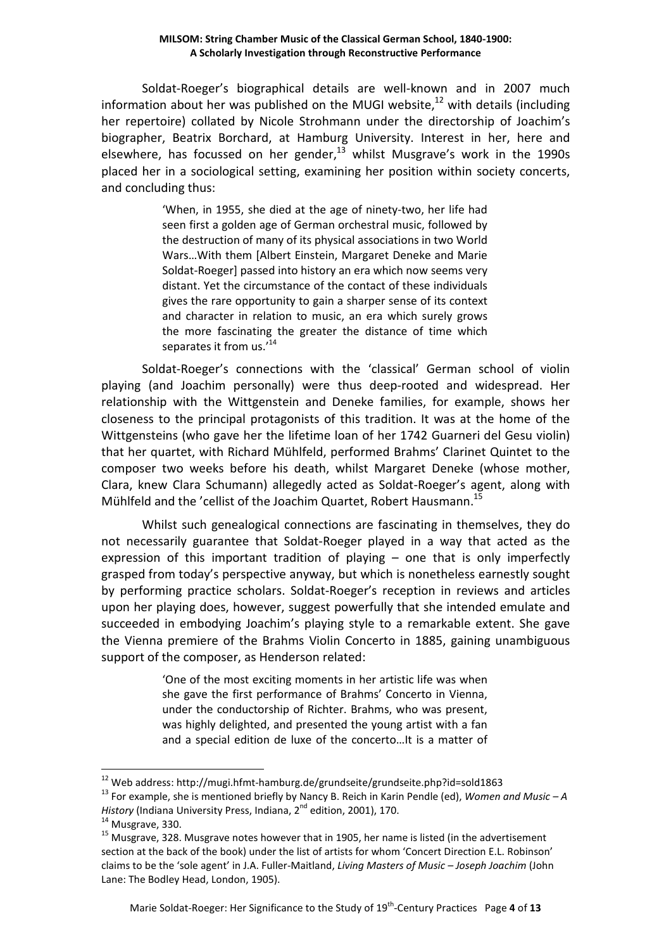Soldat-Roeger's biographical details are well-known and in 2007 much information about her was published on the MUGI website, $^{12}$  with details (including her repertoire) collated by Nicole Strohmann under the directorship of Joachim's biographer, Beatrix Borchard, at Hamburg University. Interest in her, here and elsewhere, has focussed on her gender, $^{13}$  whilst Musgrave's work in the 1990s placed her in a sociological setting, examining her position within society concerts, and concluding thus:

> 'When, in 1955, she died at the age of ninety-two, her life had seen first a golden age of German orchestral music, followed by the destruction of many of its physical associations in two World Wars…With them [Albert Einstein, Margaret Deneke and Marie Soldat-Roeger] passed into history an era which now seems very distant. Yet the circumstance of the contact of these individuals gives the rare opportunity to gain a sharper sense of its context and character in relation to music, an era which surely grows the more fascinating the greater the distance of time which separates it from us.<sup>'14</sup>

Soldat-Roeger's connections with the 'classical' German school of violin playing (and Joachim personally) were thus deep-rooted and widespread. Her relationship with the Wittgenstein and Deneke families, for example, shows her closeness to the principal protagonists of this tradition. It was at the home of the Wittgensteins (who gave her the lifetime loan of her 1742 Guarneri del Gesu violin) that her quartet, with Richard Mühlfeld, performed Brahms' Clarinet Quintet to the composer two weeks before his death, whilst Margaret Deneke (whose mother, Clara, knew Clara Schumann) allegedly acted as Soldat-Roeger's agent, along with Mühlfeld and the 'cellist of the Joachim Quartet, Robert Hausmann.<sup>15</sup>

Whilst such genealogical connections are fascinating in themselves, they do not necessarily guarantee that Soldat-Roeger played in a way that acted as the expression of this important tradition of playing – one that is only imperfectly grasped from today's perspective anyway, but which is nonetheless earnestly sought by performing practice scholars. Soldat-Roeger's reception in reviews and articles upon her playing does, however, suggest powerfully that she intended emulate and succeeded in embodying Joachim's playing style to a remarkable extent. She gave the Vienna premiere of the Brahms Violin Concerto in 1885, gaining unambiguous support of the composer, as Henderson related:

> 'One of the most exciting moments in her artistic life was when she gave the first performance of Brahms' Concerto in Vienna, under the conductorship of Richter. Brahms, who was present, was highly delighted, and presented the young artist with a fan and a special edition de luxe of the concerto…It is a matter of

<sup>12</sup> Web address: http://mugi.hfmt-hamburg.de/grundseite/grundseite.php?id=sold1863

<sup>13</sup> For example, she is mentioned briefly by Nancy B. Reich in Karin Pendle (ed), *Women and Music – A History* (Indiana University Press, Indiana, 2nd edition, 2001), 170.

 $14$  Musgrave, 330.

 $15$  Musgrave, 328. Musgrave notes however that in 1905, her name is listed (in the advertisement section at the back of the book) under the list of artists for whom 'Concert Direction E.L. Robinson' claims to be the 'sole agent' in J.A. Fuller-Maitland, *Living Masters of Music – Joseph Joachim* (John Lane: The Bodley Head, London, 1905).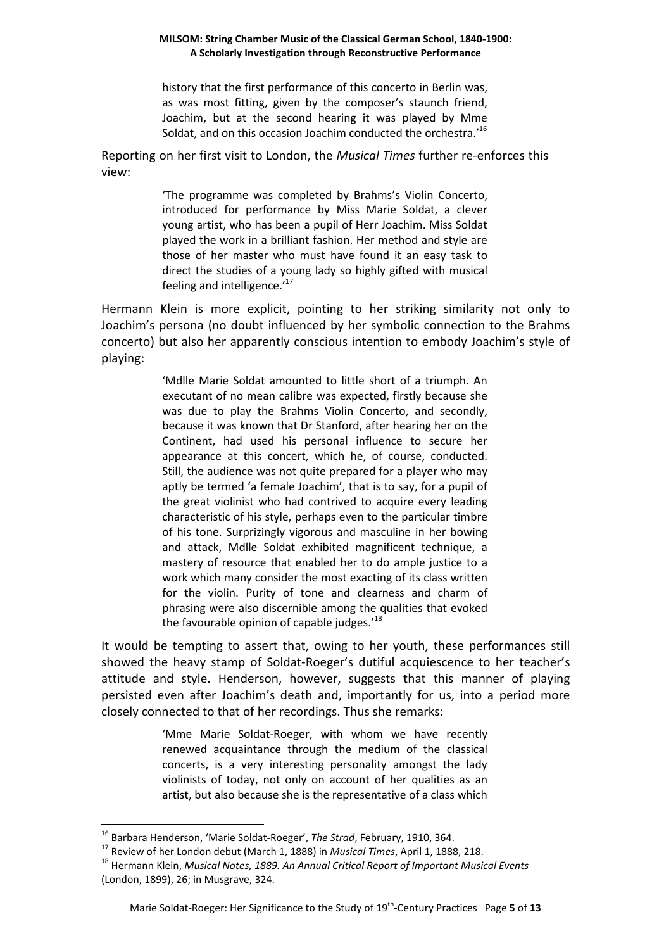history that the first performance of this concerto in Berlin was, as was most fitting, given by the composer's staunch friend, Joachim, but at the second hearing it was played by Mme Soldat, and on this occasion Joachim conducted the orchestra.'<sup>16</sup>

Reporting on her first visit to London, the *Musical Times* further re-enforces this view:

> 'The programme was completed by Brahms's Violin Concerto, introduced for performance by Miss Marie Soldat, a clever young artist, who has been a pupil of Herr Joachim. Miss Soldat played the work in a brilliant fashion. Her method and style are those of her master who must have found it an easy task to direct the studies of a young lady so highly gifted with musical feeling and intelligence.'<sup>17</sup>

Hermann Klein is more explicit, pointing to her striking similarity not only to Joachim's persona (no doubt influenced by her symbolic connection to the Brahms concerto) but also her apparently conscious intention to embody Joachim's style of playing:

> 'Mdlle Marie Soldat amounted to little short of a triumph. An executant of no mean calibre was expected, firstly because she was due to play the Brahms Violin Concerto, and secondly, because it was known that Dr Stanford, after hearing her on the Continent, had used his personal influence to secure her appearance at this concert, which he, of course, conducted. Still, the audience was not quite prepared for a player who may aptly be termed 'a female Joachim', that is to say, for a pupil of the great violinist who had contrived to acquire every leading characteristic of his style, perhaps even to the particular timbre of his tone. Surprizingly vigorous and masculine in her bowing and attack, Mdlle Soldat exhibited magnificent technique, a mastery of resource that enabled her to do ample justice to a work which many consider the most exacting of its class written for the violin. Purity of tone and clearness and charm of phrasing were also discernible among the qualities that evoked the favourable opinion of capable judges.'<sup>18</sup>

It would be tempting to assert that, owing to her youth, these performances still showed the heavy stamp of Soldat-Roeger's dutiful acquiescence to her teacher's attitude and style. Henderson, however, suggests that this manner of playing persisted even after Joachim's death and, importantly for us, into a period more closely connected to that of her recordings. Thus she remarks:

> 'Mme Marie Soldat-Roeger, with whom we have recently renewed acquaintance through the medium of the classical concerts, is a very interesting personality amongst the lady violinists of today, not only on account of her qualities as an artist, but also because she is the representative of a class which

<sup>16</sup> Barbara Henderson, 'Marie Soldat-Roeger', *The Strad*, February, 1910, 364.

<sup>17</sup> Review of her London debut (March 1, 1888) in *Musical Times*, April 1, 1888, 218.

<sup>18</sup> Hermann Klein, *Musical Notes, 1889. An Annual Critical Report of Important Musical Events* (London, 1899), 26; in Musgrave, 324.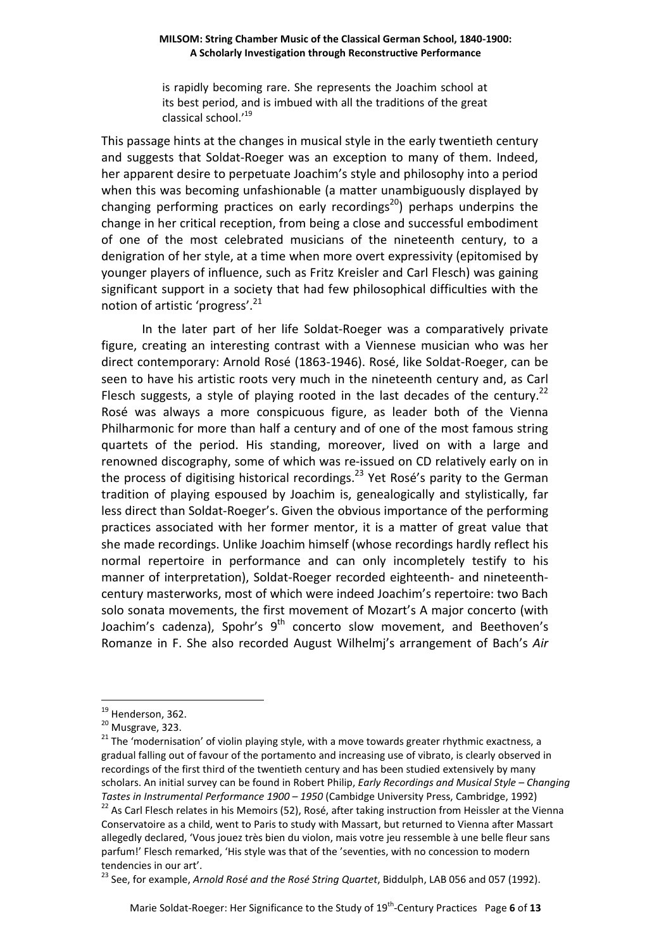is rapidly becoming rare. She represents the Joachim school at its best period, and is imbued with all the traditions of the great classical school.'<sup>19</sup>

This passage hints at the changes in musical style in the early twentieth century and suggests that Soldat-Roeger was an exception to many of them. Indeed, her apparent desire to perpetuate Joachim's style and philosophy into a period when this was becoming unfashionable (a matter unambiguously displayed by changing performing practices on early recordings<sup>20</sup>) perhaps underpins the change in her critical reception, from being a close and successful embodiment of one of the most celebrated musicians of the nineteenth century, to a denigration of her style, at a time when more overt expressivity (epitomised by younger players of influence, such as Fritz Kreisler and Carl Flesch) was gaining significant support in a society that had few philosophical difficulties with the notion of artistic 'progress'.<sup>21</sup>

In the later part of her life Soldat-Roeger was a comparatively private figure, creating an interesting contrast with a Viennese musician who was her direct contemporary: Arnold Rosé (1863-1946). Rosé, like Soldat-Roeger, can be seen to have his artistic roots very much in the nineteenth century and, as Carl Flesch suggests, a style of playing rooted in the last decades of the century.<sup>22</sup> Rosé was always a more conspicuous figure, as leader both of the Vienna Philharmonic for more than half a century and of one of the most famous string quartets of the period. His standing, moreover, lived on with a large and renowned discography, some of which was re-issued on CD relatively early on in the process of digitising historical recordings.<sup>23</sup> Yet Rosé's parity to the German tradition of playing espoused by Joachim is, genealogically and stylistically, far less direct than Soldat-Roeger's. Given the obvious importance of the performing practices associated with her former mentor, it is a matter of great value that she made recordings. Unlike Joachim himself (whose recordings hardly reflect his normal repertoire in performance and can only incompletely testify to his manner of interpretation), Soldat-Roeger recorded eighteenth- and nineteenthcentury masterworks, most of which were indeed Joachim's repertoire: two Bach solo sonata movements, the first movement of Mozart's A major concerto (with Joachim's cadenza), Spohr's  $9<sup>th</sup>$  concerto slow movement, and Beethoven's Romanze in F. She also recorded August Wilhelmj's arrangement of Bach's *Air*

 $\overline{a}$ 

<sup>23</sup> See, for example, *Arnold Rosé and the Rosé String Quartet*, Biddulph, LAB 056 and 057 (1992).

 $19$  Henderson, 362.

<sup>&</sup>lt;sup>20</sup> Musgrave, 323.

<sup>&</sup>lt;sup>21</sup> The 'modernisation' of violin playing style, with a move towards greater rhythmic exactness, a gradual falling out of favour of the portamento and increasing use of vibrato, is clearly observed in recordings of the first third of the twentieth century and has been studied extensively by many scholars. An initial survey can be found in Robert Philip, *Early Recordings and Musical Style – Changing Tastes in Instrumental Performance 1900 – 1950* (Cambidge University Press, Cambridge, 1992)

<sup>&</sup>lt;sup>22</sup> As Carl Flesch relates in his Memoirs (52), Rosé, after taking instruction from Heissler at the Vienna Conservatoire as a child, went to Paris to study with Massart, but returned to Vienna after Massart allegedly declared, 'Vous jouez très bien du violon, mais votre jeu ressemble à une belle fleur sans parfum!' Flesch remarked, 'His style was that of the 'seventies, with no concession to modern tendencies in our art'.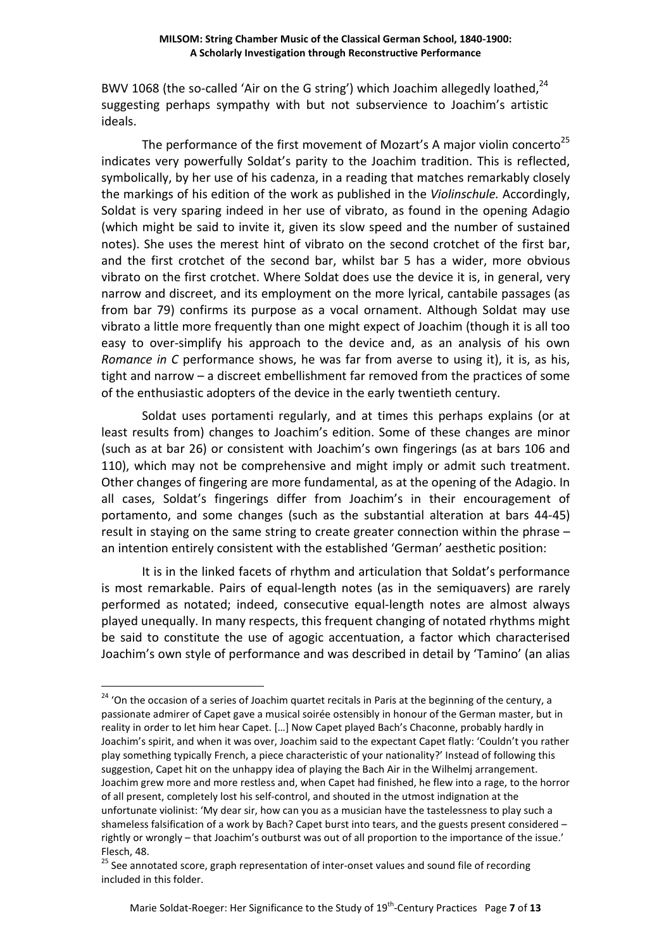BWV 1068 (the so-called 'Air on the G string') which Joachim allegedly loathed,  $24$ suggesting perhaps sympathy with but not subservience to Joachim's artistic ideals.

The performance of the first movement of Mozart's A major violin concerto<sup>25</sup> indicates very powerfully Soldat's parity to the Joachim tradition. This is reflected, symbolically, by her use of his cadenza, in a reading that matches remarkably closely the markings of his edition of the work as published in the *Violinschule.* Accordingly, Soldat is very sparing indeed in her use of vibrato, as found in the opening Adagio (which might be said to invite it, given its slow speed and the number of sustained notes). She uses the merest hint of vibrato on the second crotchet of the first bar, and the first crotchet of the second bar, whilst bar 5 has a wider, more obvious vibrato on the first crotchet. Where Soldat does use the device it is, in general, very narrow and discreet, and its employment on the more lyrical, cantabile passages (as from bar 79) confirms its purpose as a vocal ornament. Although Soldat may use vibrato a little more frequently than one might expect of Joachim (though it is all too easy to over-simplify his approach to the device and, as an analysis of his own *Romance in C* performance shows, he was far from averse to using it), it is, as his, tight and narrow – a discreet embellishment far removed from the practices of some of the enthusiastic adopters of the device in the early twentieth century.

Soldat uses portamenti regularly, and at times this perhaps explains (or at least results from) changes to Joachim's edition. Some of these changes are minor (such as at bar 26) or consistent with Joachim's own fingerings (as at bars 106 and 110), which may not be comprehensive and might imply or admit such treatment. Other changes of fingering are more fundamental, as at the opening of the Adagio. In all cases, Soldat's fingerings differ from Joachim's in their encouragement of portamento, and some changes (such as the substantial alteration at bars 44-45) result in staying on the same string to create greater connection within the phrase – an intention entirely consistent with the established 'German' aesthetic position:

It is in the linked facets of rhythm and articulation that Soldat's performance is most remarkable. Pairs of equal-length notes (as in the semiquavers) are rarely performed as notated; indeed, consecutive equal-length notes are almost always played unequally. In many respects, this frequent changing of notated rhythms might be said to constitute the use of agogic accentuation, a factor which characterised Joachim's own style of performance and was described in detail by 'Tamino' (an alias

<sup>&</sup>lt;sup>24</sup> 'On the occasion of a series of Joachim quartet recitals in Paris at the beginning of the century, a passionate admirer of Capet gave a musical soirée ostensibly in honour of the German master, but in reality in order to let him hear Capet. […] Now Capet played Bach's Chaconne, probably hardly in Joachim's spirit, and when it was over, Joachim said to the expectant Capet flatly: 'Couldn't you rather play something typically French, a piece characteristic of your nationality?' Instead of following this suggestion, Capet hit on the unhappy idea of playing the Bach Air in the Wilhelmj arrangement. Joachim grew more and more restless and, when Capet had finished, he flew into a rage, to the horror of all present, completely lost his self-control, and shouted in the utmost indignation at the unfortunate violinist: 'My dear sir, how can you as a musician have the tastelessness to play such a shameless falsification of a work by Bach? Capet burst into tears, and the guests present considered – rightly or wrongly – that Joachim's outburst was out of all proportion to the importance of the issue.' Flesch, 48.

<sup>&</sup>lt;sup>25</sup> See annotated score, graph representation of inter-onset values and sound file of recording included in this folder.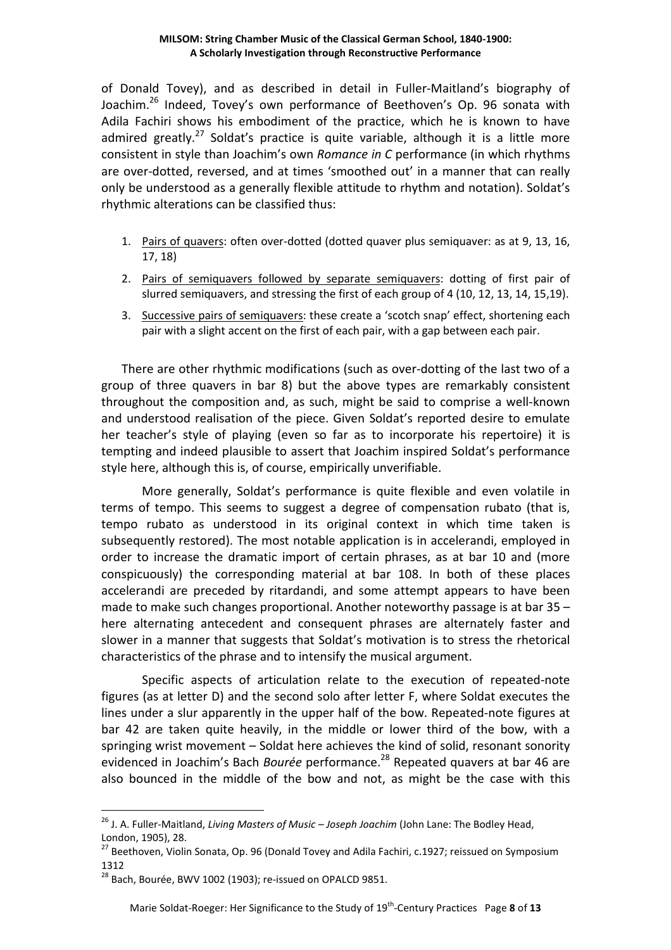of Donald Tovey), and as described in detail in Fuller-Maitland's biography of Joachim.<sup>26</sup> Indeed, Tovey's own performance of Beethoven's Op. 96 sonata with Adila Fachiri shows his embodiment of the practice, which he is known to have admired greatly.<sup>27</sup> Soldat's practice is quite variable, although it is a little more consistent in style than Joachim's own *Romance in C* performance (in which rhythms are over-dotted, reversed, and at times 'smoothed out' in a manner that can really only be understood as a generally flexible attitude to rhythm and notation). Soldat's rhythmic alterations can be classified thus:

- 1. Pairs of quavers: often over-dotted (dotted quaver plus semiquaver: as at 9, 13, 16, 17, 18)
- 2. Pairs of semiquavers followed by separate semiquavers: dotting of first pair of slurred semiquavers, and stressing the first of each group of 4 (10, 12, 13, 14, 15,19).
- 3. Successive pairs of semiquavers: these create a 'scotch snap' effect, shortening each pair with a slight accent on the first of each pair, with a gap between each pair.

There are other rhythmic modifications (such as over-dotting of the last two of a group of three quavers in bar 8) but the above types are remarkably consistent throughout the composition and, as such, might be said to comprise a well-known and understood realisation of the piece. Given Soldat's reported desire to emulate her teacher's style of playing (even so far as to incorporate his repertoire) it is tempting and indeed plausible to assert that Joachim inspired Soldat's performance style here, although this is, of course, empirically unverifiable.

 More generally, Soldat's performance is quite flexible and even volatile in terms of tempo. This seems to suggest a degree of compensation rubato (that is, tempo rubato as understood in its original context in which time taken is subsequently restored). The most notable application is in accelerandi, employed in order to increase the dramatic import of certain phrases, as at bar 10 and (more conspicuously) the corresponding material at bar 108. In both of these places accelerandi are preceded by ritardandi, and some attempt appears to have been made to make such changes proportional. Another noteworthy passage is at bar 35 – here alternating antecedent and consequent phrases are alternately faster and slower in a manner that suggests that Soldat's motivation is to stress the rhetorical characteristics of the phrase and to intensify the musical argument.

Specific aspects of articulation relate to the execution of repeated-note figures (as at letter D) and the second solo after letter F, where Soldat executes the lines under a slur apparently in the upper half of the bow. Repeated-note figures at bar 42 are taken quite heavily, in the middle or lower third of the bow, with a springing wrist movement – Soldat here achieves the kind of solid, resonant sonority evidenced in Joachim's Bach *Bourée* performance.<sup>28</sup> Repeated quavers at bar 46 are also bounced in the middle of the bow and not, as might be the case with this

<sup>26</sup> J. A. Fuller-Maitland, *Living Masters of Music – Joseph Joachim* (John Lane: The Bodley Head, London, 1905), 28.

<sup>&</sup>lt;sup>27</sup> Beethoven, Violin Sonata, Op. 96 (Donald Tovey and Adila Fachiri, c.1927; reissued on Symposium 1312

 $^{28}$  Bach, Bourée, BWV 1002 (1903); re-issued on OPALCD 9851.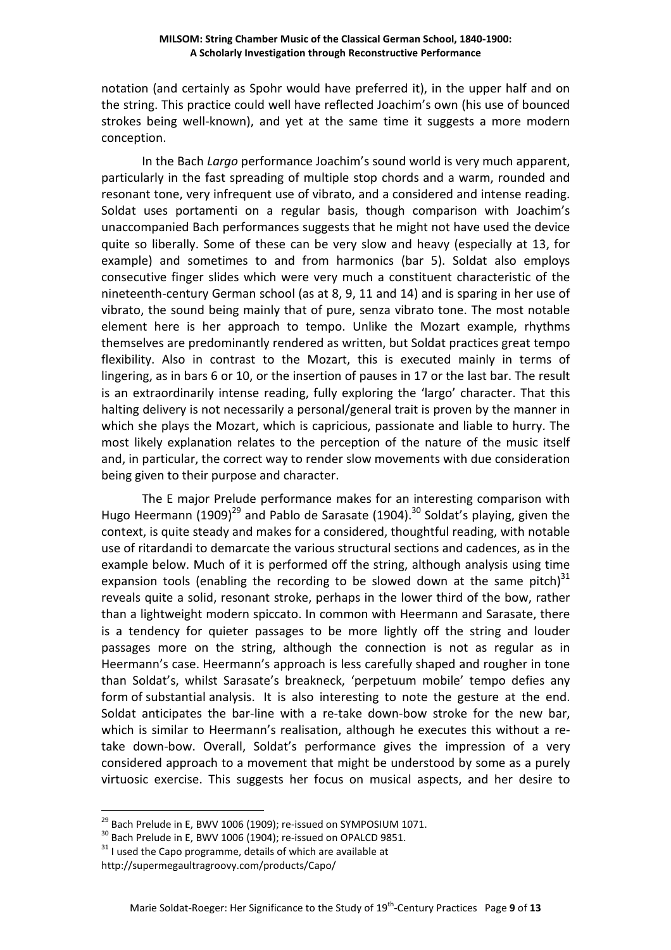notation (and certainly as Spohr would have preferred it), in the upper half and on the string. This practice could well have reflected Joachim's own (his use of bounced strokes being well-known), and yet at the same time it suggests a more modern conception.

In the Bach *Largo* performance Joachim's sound world is very much apparent, particularly in the fast spreading of multiple stop chords and a warm, rounded and resonant tone, very infrequent use of vibrato, and a considered and intense reading. Soldat uses portamenti on a regular basis, though comparison with Joachim's unaccompanied Bach performances suggests that he might not have used the device quite so liberally. Some of these can be very slow and heavy (especially at 13, for example) and sometimes to and from harmonics (bar 5). Soldat also employs consecutive finger slides which were very much a constituent characteristic of the nineteenth-century German school (as at 8, 9, 11 and 14) and is sparing in her use of vibrato, the sound being mainly that of pure, senza vibrato tone. The most notable element here is her approach to tempo. Unlike the Mozart example, rhythms themselves are predominantly rendered as written, but Soldat practices great tempo flexibility. Also in contrast to the Mozart, this is executed mainly in terms of lingering, as in bars 6 or 10, or the insertion of pauses in 17 or the last bar. The result is an extraordinarily intense reading, fully exploring the 'largo' character. That this halting delivery is not necessarily a personal/general trait is proven by the manner in which she plays the Mozart, which is capricious, passionate and liable to hurry. The most likely explanation relates to the perception of the nature of the music itself and, in particular, the correct way to render slow movements with due consideration being given to their purpose and character.

The E major Prelude performance makes for an interesting comparison with Hugo Heermann (1909)<sup>29</sup> and Pablo de Sarasate (1904).<sup>30</sup> Soldat's playing, given the context, is quite steady and makes for a considered, thoughtful reading, with notable use of ritardandi to demarcate the various structural sections and cadences, as in the example below. Much of it is performed off the string, although analysis using time expansion tools (enabling the recording to be slowed down at the same pitch) $31$ reveals quite a solid, resonant stroke, perhaps in the lower third of the bow, rather than a lightweight modern spiccato. In common with Heermann and Sarasate, there is a tendency for quieter passages to be more lightly off the string and louder passages more on the string, although the connection is not as regular as in Heermann's case. Heermann's approach is less carefully shaped and rougher in tone than Soldat's, whilst Sarasate's breakneck, 'perpetuum mobile' tempo defies any form of substantial analysis. It is also interesting to note the gesture at the end. Soldat anticipates the bar-line with a re-take down-bow stroke for the new bar, which is similar to Heermann's realisation, although he executes this without a retake down-bow. Overall, Soldat's performance gives the impression of a very considered approach to a movement that might be understood by some as a purely virtuosic exercise. This suggests her focus on musical aspects, and her desire to

 $^{29}$  Bach Prelude in E, BWV 1006 (1909); re-issued on SYMPOSIUM 1071.

 $30$  Bach Prelude in E, BWV 1006 (1904); re-issued on OPALCD 9851.

 $31$  I used the Capo programme, details of which are available at

http://supermegaultragroovy.com/products/Capo/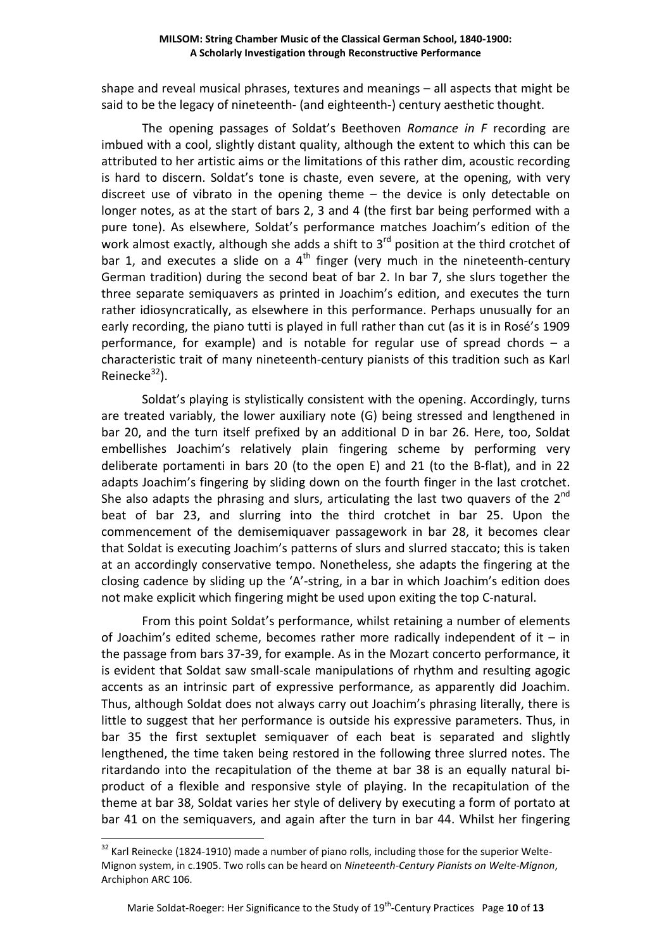shape and reveal musical phrases, textures and meanings – all aspects that might be said to be the legacy of nineteenth- (and eighteenth-) century aesthetic thought.

The opening passages of Soldat's Beethoven *Romance in F* recording are imbued with a cool, slightly distant quality, although the extent to which this can be attributed to her artistic aims or the limitations of this rather dim, acoustic recording is hard to discern. Soldat's tone is chaste, even severe, at the opening, with very discreet use of vibrato in the opening theme – the device is only detectable on longer notes, as at the start of bars 2, 3 and 4 (the first bar being performed with a pure tone). As elsewhere, Soldat's performance matches Joachim's edition of the work almost exactly, although she adds a shift to  $3<sup>rd</sup>$  position at the third crotchet of bar 1, and executes a slide on a  $4<sup>th</sup>$  finger (very much in the nineteenth-century German tradition) during the second beat of bar 2. In bar 7, she slurs together the three separate semiquavers as printed in Joachim's edition, and executes the turn rather idiosyncratically, as elsewhere in this performance. Perhaps unusually for an early recording, the piano tutti is played in full rather than cut (as it is in Rosé's 1909 performance, for example) and is notable for regular use of spread chords – a characteristic trait of many nineteenth-century pianists of this tradition such as Karl Reinecke $32$ ).

Soldat's playing is stylistically consistent with the opening. Accordingly, turns are treated variably, the lower auxiliary note (G) being stressed and lengthened in bar 20, and the turn itself prefixed by an additional D in bar 26. Here, too, Soldat embellishes Joachim's relatively plain fingering scheme by performing very deliberate portamenti in bars 20 (to the open E) and 21 (to the B-flat), and in 22 adapts Joachim's fingering by sliding down on the fourth finger in the last crotchet. She also adapts the phrasing and slurs, articulating the last two quavers of the  $2^{nd}$ beat of bar 23, and slurring into the third crotchet in bar 25. Upon the commencement of the demisemiquaver passagework in bar 28, it becomes clear that Soldat is executing Joachim's patterns of slurs and slurred staccato; this is taken at an accordingly conservative tempo. Nonetheless, she adapts the fingering at the closing cadence by sliding up the 'A'-string, in a bar in which Joachim's edition does not make explicit which fingering might be used upon exiting the top C-natural.

 From this point Soldat's performance, whilst retaining a number of elements of Joachim's edited scheme, becomes rather more radically independent of it  $-$  in the passage from bars 37-39, for example. As in the Mozart concerto performance, it is evident that Soldat saw small-scale manipulations of rhythm and resulting agogic accents as an intrinsic part of expressive performance, as apparently did Joachim. Thus, although Soldat does not always carry out Joachim's phrasing literally, there is little to suggest that her performance is outside his expressive parameters. Thus, in bar 35 the first sextuplet semiquaver of each beat is separated and slightly lengthened, the time taken being restored in the following three slurred notes. The ritardando into the recapitulation of the theme at bar 38 is an equally natural biproduct of a flexible and responsive style of playing. In the recapitulation of the theme at bar 38, Soldat varies her style of delivery by executing a form of portato at bar 41 on the semiquavers, and again after the turn in bar 44. Whilst her fingering

<sup>&</sup>lt;sup>32</sup> Karl Reinecke (1824-1910) made a number of piano rolls, including those for the superior Welte-Mignon system, in c.1905. Two rolls can be heard on *Nineteenth-Century Pianists on Welte-Mignon*, Archiphon ARC 106.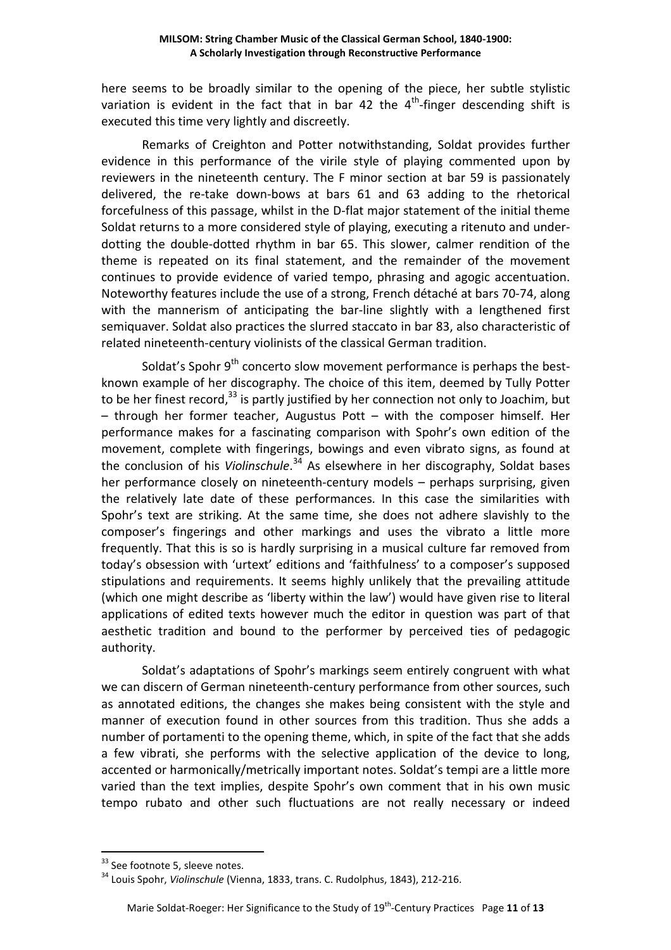here seems to be broadly similar to the opening of the piece, her subtle stylistic variation is evident in the fact that in bar 42 the  $4<sup>th</sup>$ -finger descending shift is executed this time very lightly and discreetly.

 Remarks of Creighton and Potter notwithstanding, Soldat provides further evidence in this performance of the virile style of playing commented upon by reviewers in the nineteenth century. The F minor section at bar 59 is passionately delivered, the re-take down-bows at bars 61 and 63 adding to the rhetorical forcefulness of this passage, whilst in the D-flat major statement of the initial theme Soldat returns to a more considered style of playing, executing a ritenuto and underdotting the double-dotted rhythm in bar 65. This slower, calmer rendition of the theme is repeated on its final statement, and the remainder of the movement continues to provide evidence of varied tempo, phrasing and agogic accentuation. Noteworthy features include the use of a strong, French détaché at bars 70-74, along with the mannerism of anticipating the bar-line slightly with a lengthened first semiquaver. Soldat also practices the slurred staccato in bar 83, also characteristic of related nineteenth-century violinists of the classical German tradition.

Soldat's Spohr  $9<sup>th</sup>$  concerto slow movement performance is perhaps the bestknown example of her discography. The choice of this item, deemed by Tully Potter to be her finest record,  $33$  is partly justified by her connection not only to Joachim, but – through her former teacher, Augustus Pott – with the composer himself. Her performance makes for a fascinating comparison with Spohr's own edition of the movement, complete with fingerings, bowings and even vibrato signs, as found at the conclusion of his *Violinschule*. <sup>34</sup> As elsewhere in her discography, Soldat bases her performance closely on nineteenth-century models – perhaps surprising, given the relatively late date of these performances. In this case the similarities with Spohr's text are striking. At the same time, she does not adhere slavishly to the composer's fingerings and other markings and uses the vibrato a little more frequently. That this is so is hardly surprising in a musical culture far removed from today's obsession with 'urtext' editions and 'faithfulness' to a composer's supposed stipulations and requirements. It seems highly unlikely that the prevailing attitude (which one might describe as 'liberty within the law') would have given rise to literal applications of edited texts however much the editor in question was part of that aesthetic tradition and bound to the performer by perceived ties of pedagogic authority.

 Soldat's adaptations of Spohr's markings seem entirely congruent with what we can discern of German nineteenth-century performance from other sources, such as annotated editions, the changes she makes being consistent with the style and manner of execution found in other sources from this tradition. Thus she adds a number of portamenti to the opening theme, which, in spite of the fact that she adds a few vibrati, she performs with the selective application of the device to long, accented or harmonically/metrically important notes. Soldat's tempi are a little more varied than the text implies, despite Spohr's own comment that in his own music tempo rubato and other such fluctuations are not really necessary or indeed

<sup>&</sup>lt;sup>33</sup> See footnote 5, sleeve notes.

<sup>34</sup> Louis Spohr, *Violinschule* (Vienna, 1833, trans. C. Rudolphus, 1843), 212-216.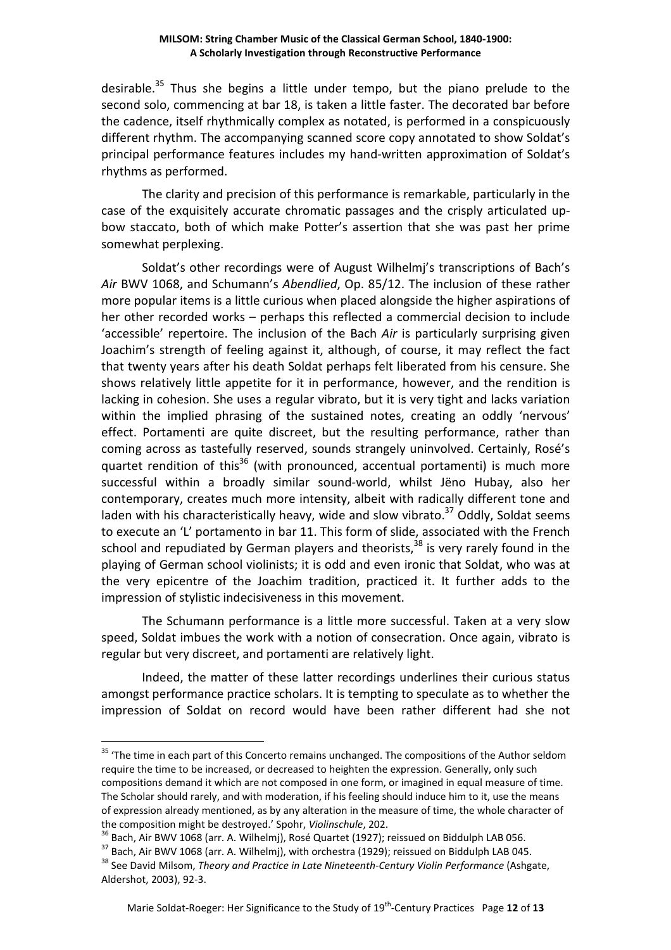desirable.<sup>35</sup> Thus she begins a little under tempo, but the piano prelude to the second solo, commencing at bar 18, is taken a little faster. The decorated bar before the cadence, itself rhythmically complex as notated, is performed in a conspicuously different rhythm. The accompanying scanned score copy annotated to show Soldat's principal performance features includes my hand-written approximation of Soldat's rhythms as performed.

The clarity and precision of this performance is remarkable, particularly in the case of the exquisitely accurate chromatic passages and the crisply articulated upbow staccato, both of which make Potter's assertion that she was past her prime somewhat perplexing.

 Soldat's other recordings were of August Wilhelmj's transcriptions of Bach's *Air* BWV 1068, and Schumann's *Abendlied*, Op. 85/12. The inclusion of these rather more popular items is a little curious when placed alongside the higher aspirations of her other recorded works – perhaps this reflected a commercial decision to include 'accessible' repertoire. The inclusion of the Bach *Air* is particularly surprising given Joachim's strength of feeling against it, although, of course, it may reflect the fact that twenty years after his death Soldat perhaps felt liberated from his censure. She shows relatively little appetite for it in performance, however, and the rendition is lacking in cohesion. She uses a regular vibrato, but it is very tight and lacks variation within the implied phrasing of the sustained notes, creating an oddly 'nervous' effect. Portamenti are quite discreet, but the resulting performance, rather than coming across as tastefully reserved, sounds strangely uninvolved. Certainly, Rosé's quartet rendition of this<sup>36</sup> (with pronounced, accentual portamenti) is much more successful within a broadly similar sound-world, whilst Jëno Hubay, also her contemporary, creates much more intensity, albeit with radically different tone and laden with his characteristically heavy, wide and slow vibrato.<sup>37</sup> Oddly, Soldat seems to execute an 'L' portamento in bar 11. This form of slide, associated with the French school and repudiated by German players and theorists, $38$  is very rarely found in the playing of German school violinists; it is odd and even ironic that Soldat, who was at the very epicentre of the Joachim tradition, practiced it. It further adds to the impression of stylistic indecisiveness in this movement.

 The Schumann performance is a little more successful. Taken at a very slow speed, Soldat imbues the work with a notion of consecration. Once again, vibrato is regular but very discreet, and portamenti are relatively light.

Indeed, the matter of these latter recordings underlines their curious status amongst performance practice scholars. It is tempting to speculate as to whether the impression of Soldat on record would have been rather different had she not

<sup>&</sup>lt;sup>35</sup> 'The time in each part of this Concerto remains unchanged. The compositions of the Author seldom require the time to be increased, or decreased to heighten the expression. Generally, only such compositions demand it which are not composed in one form, or imagined in equal measure of time. The Scholar should rarely, and with moderation, if his feeling should induce him to it, use the means of expression already mentioned, as by any alteration in the measure of time, the whole character of the composition might be destroyed.' Spohr, *Violinschule*, 202.

 $36$  Bach, Air BWV 1068 (arr. A. Wilhelmj), Rosé Quartet (1927); reissued on Biddulph LAB 056.

<sup>&</sup>lt;sup>37</sup> Bach, Air BWV 1068 (arr. A. Wilhelmj), with orchestra (1929); reissued on Biddulph LAB 045.

<sup>38</sup> See David Milsom, *Theory and Practice in Late Nineteenth-Century Violin Performance* (Ashgate, Aldershot, 2003), 92-3.